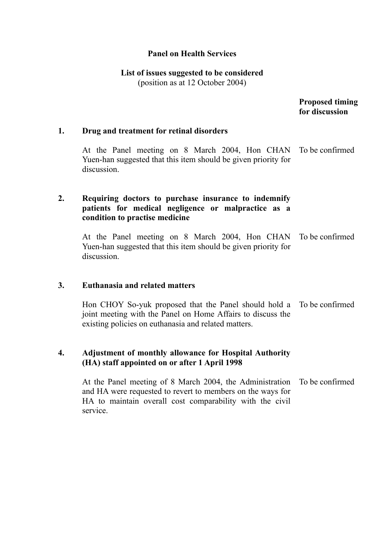#### **Panel on Health Services**

# **List of issues suggested to be considered**

(position as at 12 October 2004)

 **Proposed timing for discussion** 

#### **1. Drug and treatment for retinal disorders**

At the Panel meeting on 8 March 2004, Hon CHAN Yuen-han suggested that this item should be given priority for discussion. To be confirmed

## **2. Requiring doctors to purchase insurance to indemnify patients for medical negligence or malpractice as a condition to practise medicine**

At the Panel meeting on 8 March 2004, Hon CHAN Yuen-han suggested that this item should be given priority for discussion. To be confirmed

#### **3. Euthanasia and related matters**

Hon CHOY So-yuk proposed that the Panel should hold a joint meeting with the Panel on Home Affairs to discuss the existing policies on euthanasia and related matters. To be confirmed

# **4. Adjustment of monthly allowance for Hospital Authority (HA) staff appointed on or after 1 April 1998**

At the Panel meeting of 8 March 2004, the Administration and HA were requested to revert to members on the ways for HA to maintain overall cost comparability with the civil service. To be confirmed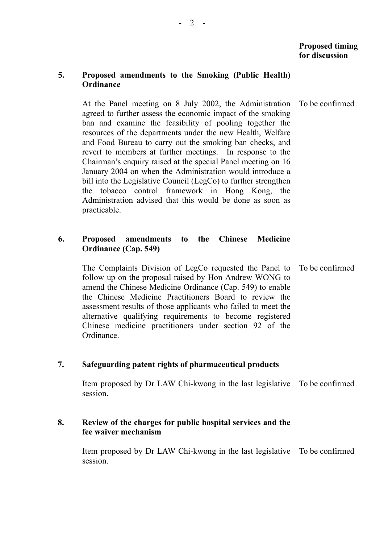# **Proposed timing for discussion**

#### **5. Proposed amendments to the Smoking (Public Health) Ordinance**

At the Panel meeting on 8 July 2002, the Administration agreed to further assess the economic impact of the smoking ban and examine the feasibility of pooling together the resources of the departments under the new Health, Welfare and Food Bureau to carry out the smoking ban checks, and revert to members at further meetings. In response to the Chairman's enquiry raised at the special Panel meeting on 16 January 2004 on when the Administration would introduce a bill into the Legislative Council (LegCo) to further strengthen the tobacco control framework in Hong Kong, the Administration advised that this would be done as soon as practicable. To be confirmed

#### **6. Proposed amendments to the Chinese Medicine Ordinance (Cap. 549)**

The Complaints Division of LegCo requested the Panel to follow up on the proposal raised by Hon Andrew WONG to amend the Chinese Medicine Ordinance (Cap. 549) to enable the Chinese Medicine Practitioners Board to review the assessment results of those applicants who failed to meet the alternative qualifying requirements to become registered Chinese medicine practitioners under section 92 of the Ordinance. To be confirmed

## **7. Safeguarding patent rights of pharmaceutical products**

Item proposed by Dr LAW Chi-kwong in the last legislative To be confirmed session.

#### **8. Review of the charges for public hospital services and the fee waiver mechanism**

Item proposed by Dr LAW Chi-kwong in the last legislative To be confirmed session.